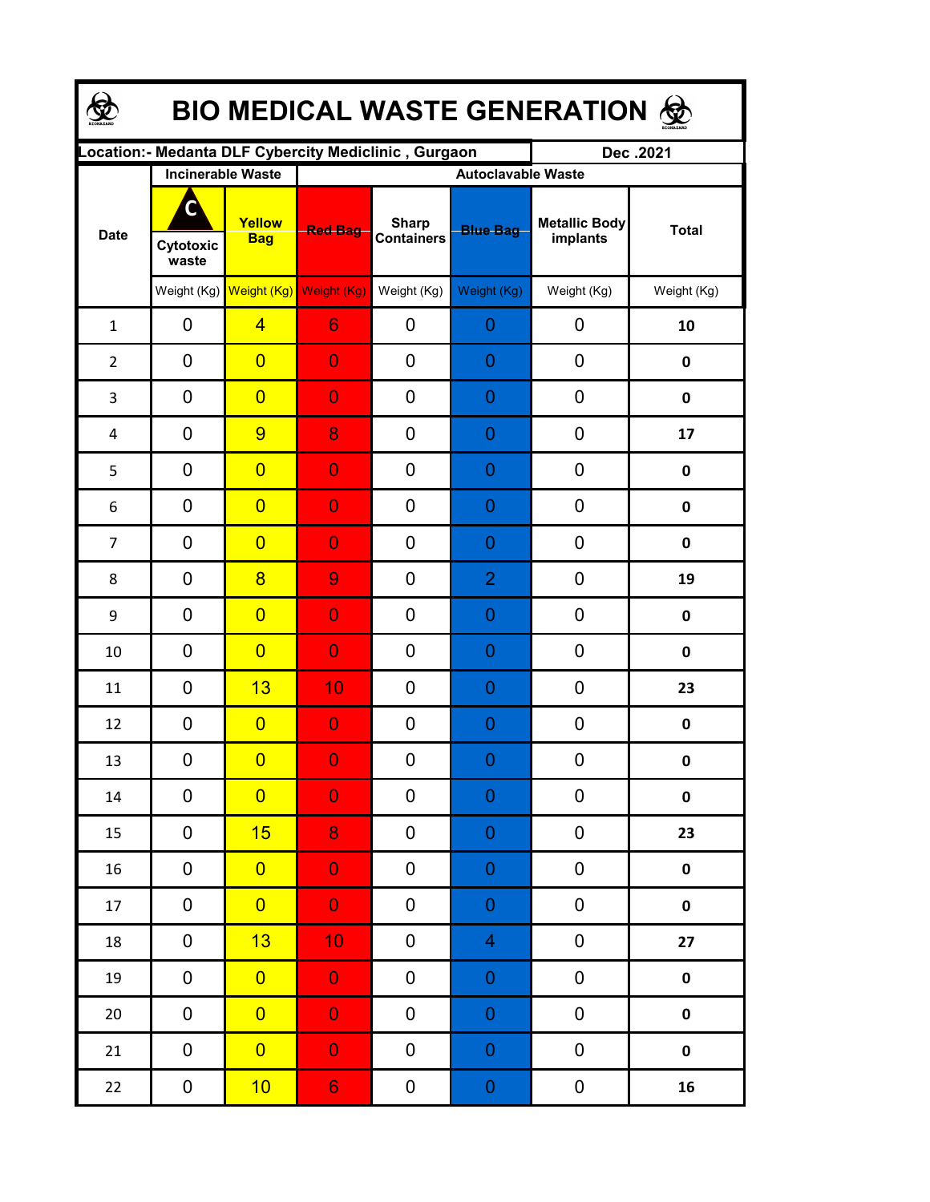| <b>BIO MEDICAL WASTE GENERATION ®</b> |                          |                                     |                                                      |                                   |                           |                                  |              |  |  |  |  |
|---------------------------------------|--------------------------|-------------------------------------|------------------------------------------------------|-----------------------------------|---------------------------|----------------------------------|--------------|--|--|--|--|
|                                       |                          |                                     | Location:- Medanta DLF Cybercity Mediclinic, Gurgaon |                                   |                           | Dec.2021                         |              |  |  |  |  |
|                                       | <b>Incinerable Waste</b> |                                     |                                                      |                                   | <b>Autoclavable Waste</b> |                                  |              |  |  |  |  |
| <b>Date</b>                           | C<br>Cytotoxic<br>waste  | Yellow<br><b>Bag</b>                | <b>Red Bag</b>                                       | <b>Sharp</b><br><b>Containers</b> | <b>Blue Bag</b>           | <b>Metallic Body</b><br>implants | <b>Total</b> |  |  |  |  |
|                                       |                          | Weight (Kg) Weight (Kg) Weight (Kg) |                                                      | Weight (Kg)                       | Weight (Kg)               | Weight (Kg)                      | Weight (Kg)  |  |  |  |  |
| $\mathbf{1}$                          | 0                        | $\overline{4}$                      | 6                                                    | 0                                 | $\overline{0}$            | 0                                | 10           |  |  |  |  |
| $\overline{2}$                        | 0                        | $\overline{0}$                      | $\overline{0}$                                       | 0                                 | $\overline{0}$            | 0                                | 0            |  |  |  |  |
| 3                                     | 0                        | $\overline{0}$                      | $\overline{0}$                                       | 0                                 | $\overline{0}$            | 0                                | $\pmb{0}$    |  |  |  |  |
| 4                                     | 0                        | 9                                   | 8                                                    | 0                                 | $\overline{0}$            | 0                                | 17           |  |  |  |  |
| 5                                     | 0                        | $\overline{0}$                      | $\overline{0}$                                       | 0                                 | $\overline{0}$            | 0                                | $\mathbf 0$  |  |  |  |  |
| 6                                     | 0                        | $\overline{0}$                      | $\overline{0}$                                       | 0                                 | $\overline{0}$            | 0                                | $\mathbf 0$  |  |  |  |  |
| $\overline{7}$                        | 0                        | $\overline{0}$                      | $\overline{0}$                                       | 0                                 | $\overline{0}$            | 0                                | $\mathbf 0$  |  |  |  |  |
| 8                                     | 0                        | $\overline{8}$                      | 9                                                    | 0                                 | $\overline{2}$            | 0                                | 19           |  |  |  |  |
| 9                                     | 0                        | $\overline{0}$                      | $\overline{0}$                                       | 0                                 | $\overline{0}$            | 0                                | 0            |  |  |  |  |
| 10                                    | 0                        | $\overline{0}$                      | $\overline{0}$                                       | 0                                 | 0                         | 0                                | 0            |  |  |  |  |
| 11                                    | $\overline{0}$           | 13                                  | 10                                                   | 0                                 | 0                         | 0                                | 23           |  |  |  |  |
| 12                                    | 0                        | $\overline{0}$                      | $\overline{0}$                                       | 0                                 | 0                         | 0                                | $\pmb{0}$    |  |  |  |  |
| 13                                    | 0                        | $\overline{0}$                      | $\overline{0}$                                       | $\boldsymbol{0}$                  | $\Omega$                  | 0                                | 0            |  |  |  |  |
| 14                                    | $\mathbf 0$              | $\overline{0}$                      | $\overline{0}$                                       | 0                                 | $\boldsymbol{0}$          | 0                                | 0            |  |  |  |  |
| 15                                    | 0                        | 15                                  | 8                                                    | 0                                 | $\boldsymbol{0}$          | 0                                | 23           |  |  |  |  |
| 16                                    | $\pmb{0}$                | $\overline{0}$                      | $\overline{0}$                                       | 0                                 | $\mathbf 0$               | 0                                | $\pmb{0}$    |  |  |  |  |
| 17                                    | $\pmb{0}$                | $\overline{0}$                      | $\mathbf{0}$                                         | 0                                 | $\mathbf 0$               | $\pmb{0}$                        | $\pmb{0}$    |  |  |  |  |
| 18                                    | 0                        | 13                                  | 10 <sub>1</sub>                                      | 0                                 | $\overline{\mathbf{4}}$   | $\pmb{0}$                        | 27           |  |  |  |  |
| 19                                    | $\pmb{0}$                | $\overline{0}$                      | $\mathbf{0}$                                         | 0                                 | $\boldsymbol{0}$          | $\pmb{0}$                        | $\pmb{0}$    |  |  |  |  |
| $20\,$                                | 0                        | $\overline{0}$                      | $\mathbf{0}$                                         | 0                                 | $\boldsymbol{0}$          | $\pmb{0}$                        | $\pmb{0}$    |  |  |  |  |
| 21                                    | 0                        | $\overline{0}$                      | $\mathbf 0$                                          | 0                                 | $\boldsymbol{0}$          | $\pmb{0}$                        | $\pmb{0}$    |  |  |  |  |
| 22                                    | 0                        | 10                                  | 6 <sub>1</sub>                                       | 0                                 | $\boldsymbol{0}$          | $\boldsymbol{0}$                 | 16           |  |  |  |  |